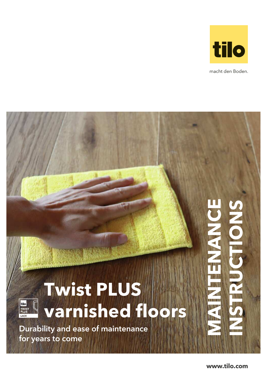

macht den Boden.

# **Twist PLUS varnished floors**

Durability and ease of maintenance for years to come

tilo<br>TWIST<br>PLUS LACK

**www.tilo.com**

**MAINTENANCE**

ENANCE

**INSTRUCTIONS**

POLI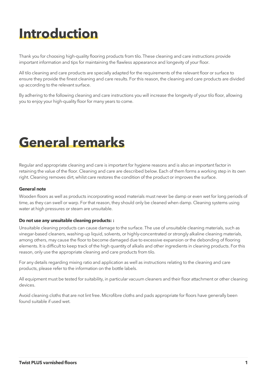### **Introduction**

Thank you for choosing high-quality flooring products from tilo. These cleaning and care instructions provide important information and tips for maintaining the flawless appearance and longevity of your floor.

All tilo cleaning and care products are specially adapted for the requirements of the relevant floor or surface to ensure they provide the finest cleaning and care results. For this reason, the cleaning and care products are divided up according to the relevant surface.

By adhering to the following cleaning and care instructions you will increase the longevity of your tilo floor, allowing you to enjoy your high-quality floor for many years to come.

### **General remarks**

Regular and appropriate cleaning and care is important for hygiene reasons and is also an important factor in retaining the value of the floor. Cleaning and care are described below. Each of them forms a working step in its own right. Cleaning removes dirt, whilst care restores the condition of the product or improves the surface.

### **General note**

Wooden floors as well as products incorporating wood materials must never be damp or even wet for long periods of time, as they can swell or warp. For that reason, they should only be cleaned when damp. Cleaning systems using water at high pressures or steam are unsuitable.

#### **Do not use any unsuitable cleaning products: :**

Unsuitable cleaning products can cause damage to the surface. The use of unsuitable cleaning materials, such as vinegar-based cleaners, washing-up liquid, solvents, or highly-concentrated or strongly alkaline cleaning materials, among others, may cause the floor to become damaged due to excessive expansion or the debonding of flooring elements. It is difficult to keep track of the high quantity of alkalis and other ingredients in cleaning products. For this reason, only use the appropriate cleaning and care products from tilo.

For any details regarding mixing ratio and application as well as instructions relating to the cleaning and care products, please refer to the information on the bottle labels.

All equipment must be tested for suitability, in particular vacuum cleaners and their floor attachment or other cleaning devices.

Avoid cleaning cloths that are not lint free. Microfibre cloths and pads appropriate for floors have generally been found suitable if used wet.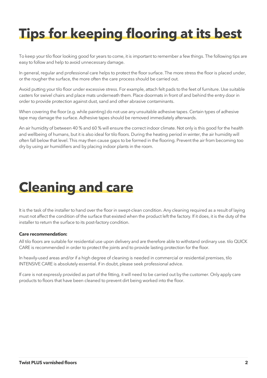## **Tips for keeping flooring at its best**

To keep your tilo floor looking good for years to come, it is important to remember a few things. The following tips are easy to follow and help to avoid unnecessary damage.

In general, regular and professional care helps to protect the floor surface. The more stress the floor is placed under, or the rougher the surface, the more often the care process should be carried out.

Avoid putting your tilo floor under excessive stress. For example, attach felt pads to the feet of furniture. Use suitable casters for swivel chairs and place mats underneath them. Place doormats in front of and behind the entry door in order to provide protection against dust, sand and other abrasive contaminants.

When covering the floor (e.g. while painting) do not use any unsuitable adhesive tapes. Certain types of adhesive tape may damage the surface. Adhesive tapes should be removed immediately afterwards.

An air humidity of between 40 % and 60 % will ensure the correct indoor climate. Not only is this good for the health and wellbeing of humans, but it is also ideal for tilo floors. During the heating period in winter, the air humidity will often fall below that level. This may then cause gaps to be formed in the flooring. Prevent the air from becoming too dry by using air humidifiers and by placing indoor plants in the room.

### **Cleaning and care**

It is the task of the installer to hand over the floor in swept-clean condition. Any cleaning required as a result of laying must not affect the condition of the surface that existed when the product left the factory. If it does, it is the duty of the installer to return the surface to its post-factory condition.

### **Care recommendation:**

All tilo floors are suitable for residential use upon delivery and are therefore able to withstand ordinary use. tilo QUICK CARE is recommended in order to protect the joints and to provide lasting protection for the floor.

In heavily-used areas and/or if a high degree of cleaning is needed in commercial or residential premises, tilo INTENSIVE CARE is absolutely essential. If in doubt, please seek professional advice.

If care is not expressly provided as part of the fitting, it will need to be carried out by the customer. Only apply care products to floors that have been cleaned to prevent dirt being worked into the floor.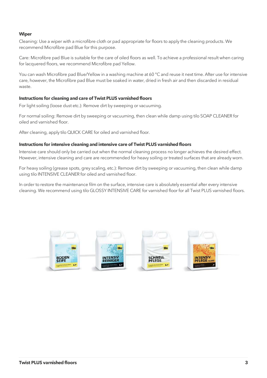### **Wiper**

Cleaning: Use a wiper with a microfibre cloth or pad appropriate for floors to apply the cleaning products. We recommend Microfibre pad Blue for this purpose.

Care: Microfibre pad Blue is suitable for the care of oiled floors as well. To achieve a professional result when caring for lacquered floors, we recommend Microfibre pad Yellow.

You can wash Microfibre pad Blue/Yellow in a washing machine at 60 °C and reuse it next time. After use for intensive care, however, the Microfibre pad Blue must be soaked in water, dried in fresh air and then discarded in residual waste.

#### **Instructions for cleaning and care of Twist PLUS varnished floors**

For light soiling (loose dust etc.): Remove dirt by sweeping or vacuuming.

For normal soiling: Remove dirt by sweeping or vacuuming, then clean while damp using tilo SOAP CLEANER for oiled and varnished floor.

After cleaning, apply tilo QUICK CARE for oiled and varnished floor.

#### **Instructions for intensive cleaning and intensive care of Twist PLUS varnished floors**

Intensive care should only be carried out when the normal cleaning process no longer achieves the desired effect. However, intensive cleaning and care are recommended for heavy soiling or treated surfaces that are already worn.

For heavy soiling (grease spots, grey scaling, etc.): Remove dirt by sweeping or vacuuming, then clean while damp using tilo INTENSIVE CLEANER for oiled and varnished floor.

In order to restore the maintenance film on the surface, intensive care is absolutely essential after every intensive cleaning. We recommend using tilo GLOSSY INTENSIVE CARE for varnished floor for all Twist PLUS varnished floors.